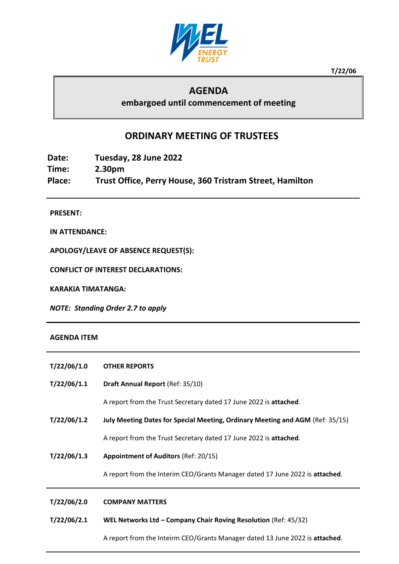

**T/22/06**

## **AGENDA**

**embargoed until commencement of meeting**

## **ORDINARY MEETING OF TRUSTEES**

**Date: Tuesday, 28 June 2022 Time: 2.30pm Place: Trust Office, Perry House, 360 Tristram Street, Hamilton**

**PRESENT:**

**IN ATTENDANCE:**

**APOLOGY/LEAVE OF ABSENCE REQUEST(S):**

**CONFLICT OF INTEREST DECLARATIONS:**

**KARAKIA TIMATANGA:**

*NOTE: Standing Order 2.7 to apply*

## **AGENDA ITEM**

| T/22/06/1.0 | <b>OTHER REPORTS</b>                                                          |  |  |
|-------------|-------------------------------------------------------------------------------|--|--|
| T/22/06/1.1 | Draft Annual Report (Ref: 35/10)                                              |  |  |
|             | A report from the Trust Secretary dated 17 June 2022 is attached.             |  |  |
| T/22/06/1.2 | July Meeting Dates for Special Meeting, Ordinary Meeting and AGM (Ref: 35/15) |  |  |
|             | A report from the Trust Secretary dated 17 June 2022 is attached.             |  |  |
| T/22/06/1.3 | <b>Appointment of Auditors (Ref: 20/15)</b>                                   |  |  |
|             | A report from the Interim CEO/Grants Manager dated 17 June 2022 is attached.  |  |  |
| T/22/06/2.0 | <b>COMPANY MATTERS</b>                                                        |  |  |
| T/22/06/2.1 | WEL Networks Ltd - Company Chair Roving Resolution (Ref: 45/32)               |  |  |
|             | A report from the Inteirm CEO/Grants Manager dated 13 June 2022 is attached.  |  |  |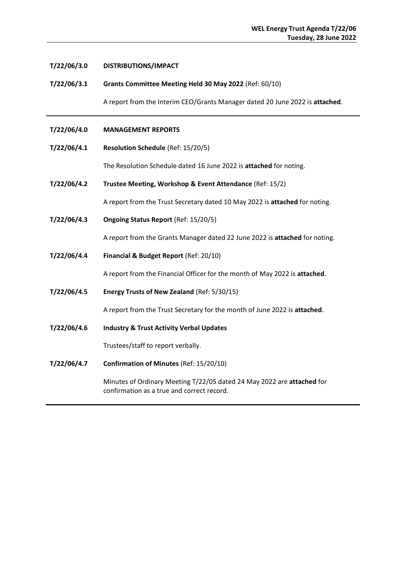| T/22/06/3.0 | DISTRIBUTIONS/IMPACT                                                                                                 |  |  |
|-------------|----------------------------------------------------------------------------------------------------------------------|--|--|
| T/22/06/3.1 | Grants Committee Meeting Held 30 May 2022 (Ref: 60/10)                                                               |  |  |
|             | A report from the Interim CEO/Grants Manager dated 20 June 2022 is attached.                                         |  |  |
| T/22/06/4.0 | <b>MANAGEMENT REPORTS</b>                                                                                            |  |  |
| T/22/06/4.1 | Resolution Schedule (Ref: 15/20/5)                                                                                   |  |  |
|             | The Resolution Schedule dated 16 June 2022 is attached for noting.                                                   |  |  |
| T/22/06/4.2 | Trustee Meeting, Workshop & Event Attendance (Ref: 15/2)                                                             |  |  |
|             | A report from the Trust Secretary dated 10 May 2022 is attached for noting.                                          |  |  |
| T/22/06/4.3 | Ongoing Status Report (Ref: 15/20/5)                                                                                 |  |  |
|             | A report from the Grants Manager dated 22 June 2022 is attached for noting.                                          |  |  |
| T/22/06/4.4 | Financial & Budget Report (Ref: 20/10)                                                                               |  |  |
|             | A report from the Financial Officer for the month of May 2022 is attached.                                           |  |  |
| T/22/06/4.5 | Energy Trusts of New Zealand (Ref: 5/30/15)                                                                          |  |  |
|             | A report from the Trust Secretary for the month of June 2022 is attached.                                            |  |  |
| T/22/06/4.6 | <b>Industry &amp; Trust Activity Verbal Updates</b>                                                                  |  |  |
|             | Trustees/staff to report verbally.                                                                                   |  |  |
| T/22/06/4.7 | Confirmation of Minutes (Ref: 15/20/10)                                                                              |  |  |
|             | Minutes of Ordinary Meeting T/22/05 dated 24 May 2022 are attached for<br>confirmation as a true and correct record. |  |  |